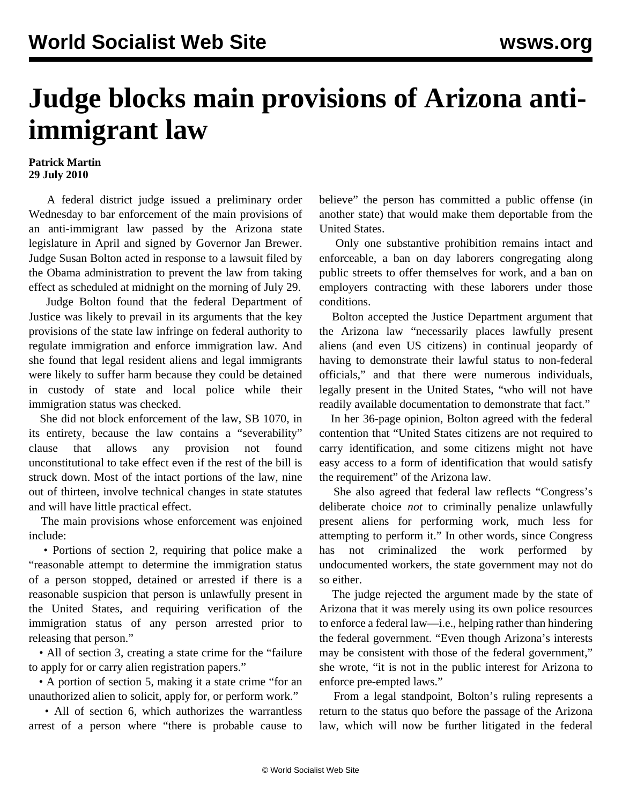## **Judge blocks main provisions of Arizona antiimmigrant law**

## **Patrick Martin 29 July 2010**

 A federal district judge issued a preliminary order Wednesday to bar enforcement of the main provisions of an anti-immigrant law passed by the Arizona state legislature in April and signed by Governor Jan Brewer. Judge Susan Bolton acted in response to a lawsuit filed by the Obama administration to prevent the law from taking effect as scheduled at midnight on the morning of July 29.

 Judge Bolton found that the federal Department of Justice was likely to prevail in its arguments that the key provisions of the state law infringe on federal authority to regulate immigration and enforce immigration law. And she found that legal resident aliens and legal immigrants were likely to suffer harm because they could be detained in custody of state and local police while their immigration status was checked.

 She did not block enforcement of the law, SB 1070, in its entirety, because the law contains a "severability" clause that allows any provision not found unconstitutional to take effect even if the rest of the bill is struck down. Most of the intact portions of the law, nine out of thirteen, involve technical changes in state statutes and will have little practical effect.

 The main provisions whose enforcement was enjoined include:

 • Portions of section 2, requiring that police make a "reasonable attempt to determine the immigration status of a person stopped, detained or arrested if there is a reasonable suspicion that person is unlawfully present in the United States, and requiring verification of the immigration status of any person arrested prior to releasing that person."

• All of section 3, creating a state crime for the "failure" to apply for or carry alien registration papers."

 • A portion of section 5, making it a state crime "for an unauthorized alien to solicit, apply for, or perform work."

 • All of section 6, which authorizes the warrantless arrest of a person where "there is probable cause to

believe" the person has committed a public offense (in another state) that would make them deportable from the United States.

 Only one substantive prohibition remains intact and enforceable, a ban on day laborers congregating along public streets to offer themselves for work, and a ban on employers contracting with these laborers under those conditions.

 Bolton accepted the Justice Department argument that the Arizona law "necessarily places lawfully present aliens (and even US citizens) in continual jeopardy of having to demonstrate their lawful status to non-federal officials," and that there were numerous individuals, legally present in the United States, "who will not have readily available documentation to demonstrate that fact."

 In her 36-page opinion, Bolton agreed with the federal contention that "United States citizens are not required to carry identification, and some citizens might not have easy access to a form of identification that would satisfy the requirement" of the Arizona law.

 She also agreed that federal law reflects "Congress's deliberate choice *not* to criminally penalize unlawfully present aliens for performing work, much less for attempting to perform it." In other words, since Congress has not criminalized the work performed by undocumented workers, the state government may not do so either.

 The judge rejected the argument made by the state of Arizona that it was merely using its own police resources to enforce a federal law—i.e., helping rather than hindering the federal government. "Even though Arizona's interests may be consistent with those of the federal government," she wrote, "it is not in the public interest for Arizona to enforce pre-empted laws."

 From a legal standpoint, Bolton's ruling represents a return to the status quo before the passage of the Arizona law, which will now be further litigated in the federal